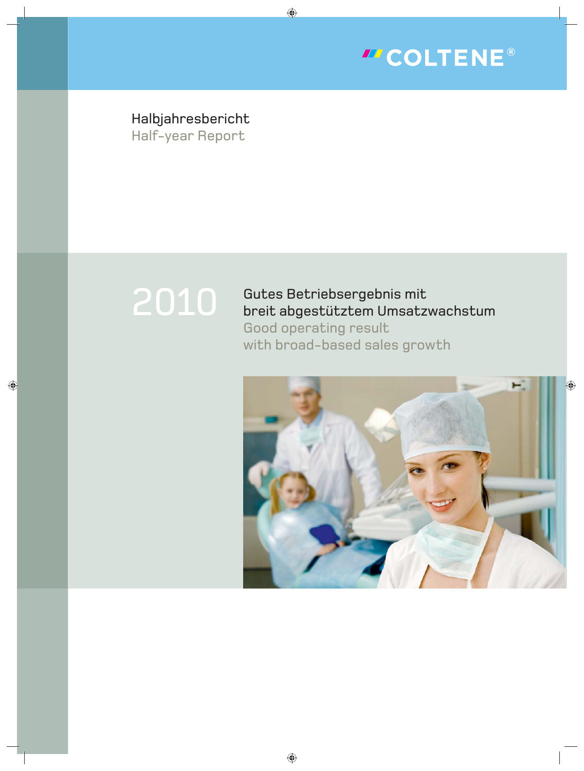

Halbjahresbericht Half-year Report

# 2010

Gutes Betriebsergebnis mit breit abgestütztem Umsatzwachstum Good operating result with broad-based sales growth

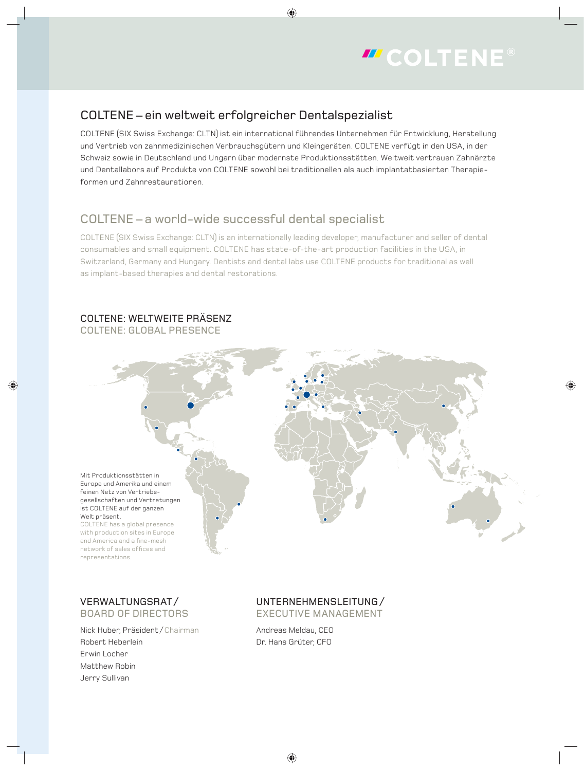

## COLTENE – ein weltweit erfolgreicher Dentalspezialist

COLTENE (SIX Swiss Exchange: CLTN) ist ein international führendes Unternehmen für Entwicklung, Herstellung und Vertrieb von zahnmedizinischen Verbrauchsgütern und Kleingeräten. COLTENE verfügt in den USA, in der Schweiz sowie in Deutschland und Ungarn über modernste Produktionsstätten. Weltweit vertrauen Zahnärzte und Dentallabors auf Produkte von COLTENE sowohl bei traditionellen als auch implantatbasierten Therapieformen und Zahnrestaurationen.

## COLTENE – a world-wide successful dental specialist

COLTENE (SIX Swiss Exchange: CLTN) is an internationally leading developer, manufacturer and seller of dental consumables and small equipment. COLTENE has state-of-the-art production facilities in the USA, in Switzerland, Germany and Hungary. Dentists and dental labs use COLTENE products for traditional as well as implant-based therapies and dental restorations.

## COLTENE: WELTWEITE PRÄSENZ

COLTENE: GLOBAL PRESENCE



## VERWALTUNGSRAT / BOARD OF DIRECTORS

Nick Huber, Präsident / Chairman Robert Heberlein Erwin Locher Matthew Robin Jerry Sullivan

#### UNTERNEHMENSLEITUNG / EXECUTIVE MANAGEMENT

Andreas Meldau, CEO Dr. Hans Grüter, CFO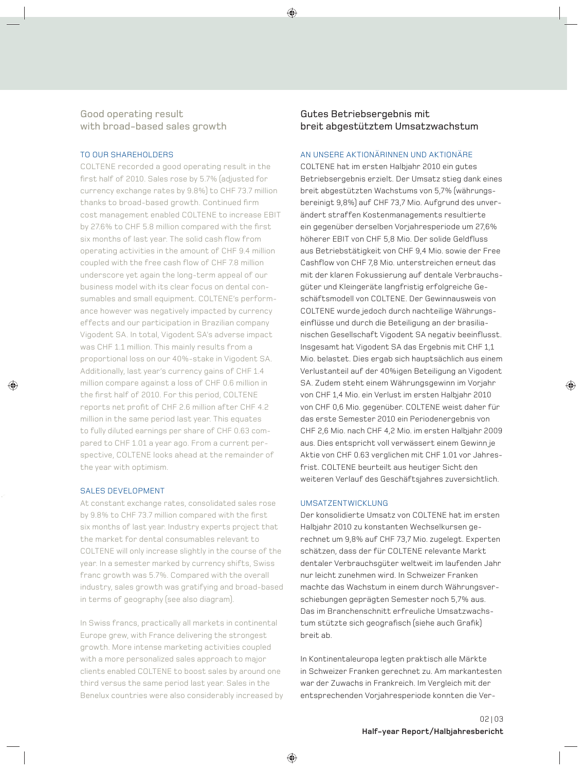### Good operating result with broad-based sales growth

#### TO OUR SHAREHOLDERS

COLTENE recorded a good operating result in the first half of 2010. Sales rose by 5.7% (adjusted for currency exchange rates by 9.8%) to CHF 73.7 million thanks to broad-based growth. Continued firm cost management enabled COLTENE to increase EBIT by 27.6% to CHF 5.8 million compared with the first six months of last year. The solid cash flow from operating activities in the amount of CHF 9.4 million coupled with the free cash flow of CHF 7.8 million underscore yet again the long-term appeal of our business model with its clear focus on dental consumables and small equipment. COLTENE's performance however was negatively impacted by currency effects and our participation in Brazilian company Vigodent SA. In total, Vigodent SA's adverse impact was CHF 1.1 million. This mainly results from a proportional loss on our 40%-stake in Vigodent SA. Additionally, last year's currency gains of CHF 1.4 million compare against a loss of CHF 0.6 million in the first half of 2010. For this period, COLTENE reports net profit of CHF 2.6 million after CHF 4.2 million in the same period last year. This equates to fully diluted earnings per share of CHF 0.63 compared to CHF 1.01 a year ago. From a current perspective, COLTENE looks ahead at the remainder of the year with optimism.

#### SALES DEVELOPMENT

At constant exchange rates, consolidated sales rose by 9.8% to CHF 73.7 million compared with the first six months of last year. Industry experts project that the market for dental consumables relevant to COLTENE will only increase slightly in the course of the year. In a semester marked by currency shifts, Swiss franc growth was 5.7%. Compared with the overall industry, sales growth was gratifying and broad-based in terms of geography (see also diagram).

In Swiss francs, practically all markets in continental Europe grew, with France delivering the strongest growth. More intense marketing activities coupled with a more personalized sales approach to major clients enabled COLTENE to boost sales by around one third versus the same period last year. Sales in the Benelux countries were also considerably increased by

#### Gutes Betriebsergebnis mit breit abgestütztem Umsatzwachstum

#### AN UNSERE AKTIONÄRINNEN UND AKTIONÄRE

COLTENE hat im ersten Halbjahr 2010 ein gutes Betriebsergebnis erzielt. Der Umsatz stieg dank eines breit abgestützten Wachstums von 5,7% (währungsbereinigt 9,8%) auf CHF 73,7 Mio. Aufgrund des unverändert straffen Kostenmanagements resultierte ein gegenüber derselben Vorjahresperiode um 27,6% höherer EBIT von CHF 5,8 Mio. Der solide Geldfluss aus Betriebstätigkeit von CHF 9,4 Mio. sowie der Free Cashflow von CHF 7,8 Mio. unterstreichen erneut das mit der klaren Fokussierung auf dentale Verbrauchsgüter und Kleingeräte langfristig erfolgreiche Geschäftsmodell von COLTENE. Der Gewinnausweis von COLTENE wurde jedoch durch nachteilige Währungseinflüsse und durch die Beteiligung an der brasilianischen Gesellschaft Vigodent SA negativ beeinflusst. Insgesamt hat Vigodent SA das Ergebnis mit CHF 1,1 Mio. belastet. Dies ergab sich hauptsächlich aus einem Verlust anteil auf der 40%igen Beteiligung an Vigodent SA. Zudem steht einem Währungsgewinn im Vorjahr von CHF 1,4 Mio. ein Verlust im ersten Halbjahr 2010 von CHF 0,6 Mio. gegenüber. COLTENE weist daher für das erste Semester 2010 ein Periodenergebnis von CHF 2,6 Mio. nach CHF 4,2 Mio. im ersten Halbjahr 2009 aus. Dies entspricht voll verwässert einem Gewinn je Aktie von CHF 0.63 verglichen mit CHF 1.01 vor Jahresfrist. COLTENE beurteilt aus heutiger Sicht den weiteren Verlauf des Geschäftsjahres zuversichtlich.

#### UMSATZENTWICKLUNG

Der konsolidierte Umsatz von COLTENE hat im ersten Halbjahr 2010 zu konstanten Wechselkursen gerechnet um 9,8% auf CHF 73,7 Mio. zugelegt. Experten schätzen, dass der für COLTENE relevante Markt dentaler Verbrauchsgüter weltweit im laufenden Jahr nur leicht zunehmen wird. In Schweizer Franken machte das Wachstum in einem durch Währungsverschiebungen geprägten Semester noch 5,7% aus. Das im Branchenschnitt erfreuliche Umsatzwachstum stützte sich geografisch (siehe auch Grafik) breit ab.

In Kontinentaleuropa legten praktisch alle Märkte in Schweizer Franken gerechnet zu. Am markantesten war der Zuwachs in Frankreich. Im Vergleich mit der entsprechenden Vorjahresperiode konnten die Ver-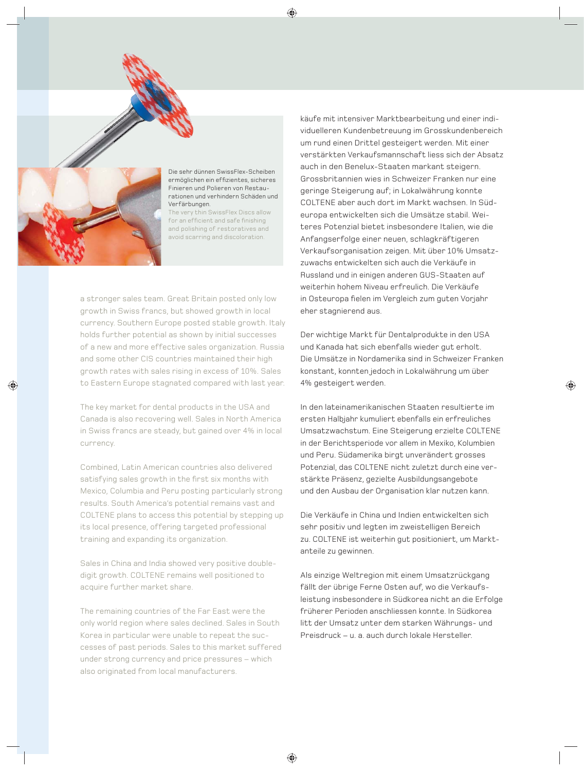

Die sehr dünnen SwissFlex-Scheiben ermöglichen ein effizientes, sicheres Finieren und Polieren von Restaurationen und verhindern Schäden und Verfärbungen.

The very thin SwissFlex Discs allow for an efficient and safe finishing and polishing of restoratives and avoid scarring and discoloration.

a stronger sales team. Great Britain posted only low growth in Swiss francs, but showed growth in local currency. Southern Europe posted stable growth. Italy holds further potential as shown by initial successes of a new and more effective sales organization. Russia and some other CIS countries maintained their high growth rates with sales rising in excess of 10%. Sales to Eastern Europe stagnated compared with last year.

The key market for dental products in the USA and Canada is also recovering well. Sales in North America in Swiss francs are steady, but gained over 4% in local currency.

Combined, Latin American countries also delivered satisfying sales growth in the first six months with Mexico, Columbia and Peru posting particularly strong results. South America's potential remains vast and COLTENE plans to access this potential by stepping up its local presence, offering targeted professional training and expanding its organization.

Sales in China and India showed very positive doubledigit growth. COLTENE remains well positioned to acquire further market share.

The remaining countries of the Far East were the only world region where sales declined. Sales in South Korea in particular were unable to repeat the successes of past periods. Sales to this market suffered under strong currency and price pressures – which also originated from local manufacturers.

käufe mit intensiver Marktbearbeitung und einer individuelleren Kundenbetreuung im Grosskundenbereich um rund einen Drittel gesteigert werden. Mit einer verstärkten Verkaufsmannschaft liess sich der Absatz auch in den Benelux-Staaten markant steigern. Grossbritannien wies in Schweizer Franken nur eine geringe Steigerung auf; in Lokalwährung konnte COLTENE aber auch dort im Markt wachsen. In Südeuropa entwickelten sich die Umsätze stabil. Weiteres Potenzial bietet insbesondere Italien, wie die Anfangserfolge einer neuen, schlagkräftigeren Verkaufsorganisation zeigen. Mit über 10% Umsatzzuwachs entwickelten sich auch die Verkäufe in Russland und in einigen anderen GUS-Staaten auf weiterhin hohem Niveau erfreulich. Die Verkäufe in Osteuropa fielen im Vergleich zum guten Vorjahr eher stagnierend aus.

Der wichtige Markt für Dentalprodukte in den USA und Kanada hat sich ebenfalls wieder gut erholt. Die Umsätze in Nordamerika sind in Schweizer Franken konstant, konnten jedoch in Lokalwährung um über 4% gesteigert werden.

In den lateinamerikanischen Staaten resultierte im ersten Halbjahr kumuliert ebenfalls ein erfreuliches Umsatzwachstum. Eine Steigerung erzielte COLTENE in der Berichtsperiode vor allem in Mexiko, Kolumbien und Peru. Südamerika birgt unverändert grosses Potenzial, das COLTENE nicht zuletzt durch eine verstärkte Präsenz, gezielte Ausbildungsangebote und den Ausbau der Organisation klar nutzen kann.

Die Verkäufe in China und Indien entwickelten sich sehr positiv und legten im zweistelligen Bereich zu. COLTENE ist weiterhin gut positioniert, um Marktanteile zu gewinnen.

Als einzige Weltregion mit einem Umsatzrückgang fällt der übrige Ferne Osten auf, wo die Verkaufsleistung insbesondere in Südkorea nicht an die Erfolge früherer Perioden anschliessen konnte. In Südkorea litt der Umsatz unter dem starken Währungs- und Preisdruck – u. a. auch durch lokale Hersteller.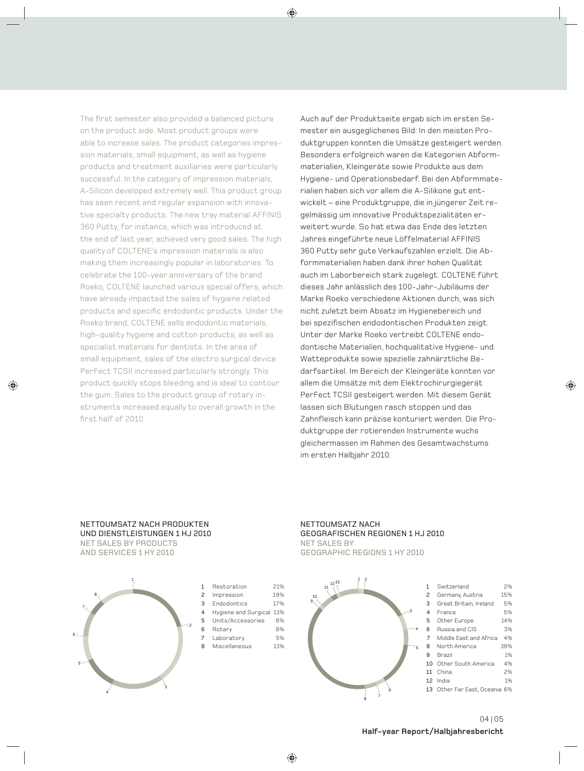The first semester also provided a balanced picture on the product side. Most product groups were able to increase sales. The product categories impression materials, small equipment, as well as hygiene products and treatment auxiliaries were particularly successful. In the category of impression materials, A-Silicon developed extremely well. This product group has seen recent and regular expansion with innovative specialty products. The new tray material AFFINIS 360 Putty, for instance, which was introduced at the end of last year, achieved very good sales. The high quality of COLTENE's impression materials is also making them increasingly popular in laboratories. To celebrate the 100-year anniversary of the brand Roeko, COLTENE launched various special offers, which have already impacted the sales of hygiene related products and specific endodontic products. Under the Roeko brand, COLTENE sells endodontic materials, high-quality hygiene and cotton products, as well as specialist materials for dentists. In the area of small equipment, sales of the electro surgical device PerFect TCSII increased particularly strongly. This product quickly stops bleeding and is ideal to contour the gum. Sales to the product group of rotary instruments increased equally to overall growth in the first half of 2010.

Auch auf der Produktseite ergab sich im ersten Semester ein ausgeglichenes Bild: In den meisten Produktgruppen konnten die Umsätze gesteigert werden. Besonders erfolgreich waren die Kategorien Abformmaterialien, Kleingeräte sowie Produkte aus dem Hygiene- und Operationsbedarf. Bei den Abformmaterialien haben sich vor allem die A-Silikone gut entwickelt – eine Produktgruppe, die in jüngerer Zeit regelmässig um innovative Produktspezialitäten erweitert wurde. So hat etwa das Ende des letzten Jahres eingeführte neue Löffelmaterial AFFINIS 360 Putty sehr gute Verkaufszahlen erzielt. Die Abformmaterialien haben dank ihrer hohen Qualität auch im Laborbereich stark zugelegt. COLTENE führt dieses Jahr anlässlich des 100-Jahr-Jubiläums der Marke Roeko verschiedene Aktionen durch, was sich nicht zuletzt beim Absatz im Hygienebereich und bei spezifischen endodontischen Produkten zeigt. Unter der Marke Roeko vertreibt COLTENE endodontische Materialien, hochqualitative Hygiene- und Watteprodukte sowie spezielle zahnärztliche Bedarfsartikel. Im Bereich der Kleingeräte konnten vor allem die Umsätze mit dem Elektrochirurgiegerät PerFect TCSII gesteigert werden. Mit diesem Gerät lassen sich Blutungen rasch stoppen und das Zahnfleisch kann präzise konturiert werden. Die Produktgruppe der rotierenden Instrumente wuchs gleichermassen im Rahmen des Gesamtwachstums im ersten Halbjahr 2010.

#### NETTOUMSATZ NACH PRODUKTEN UND DIENSTLEISTUNGEN 1 HJ 2010 NET SALES BY PRODUCTS AND SERVICES 1 HY 2010



| 1 | Restoration              | <b>21%</b> |
|---|--------------------------|------------|
| 2 | Impression               | 19%        |
| 3 | Endodontics              | <b>17%</b> |
| 4 | Hygiene and Surgical 11% |            |
| 5 | Units/Accessories        | 8%         |
| 6 | Rotary                   | 8%         |
| 7 | Laboratory               | 5%         |
| 8 | Miscellaneous            | <b>11%</b> |

#### NETTOUMSATZ NACH GEOGRAFISCHEN REGIONEN 1 HJ 2010 NET SALES BY GEOGRAPHIC REGIONS 1 HY 2010

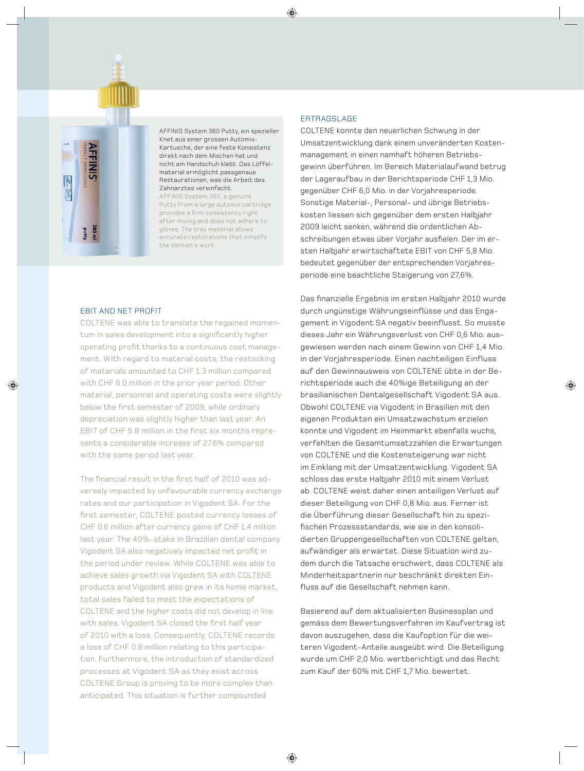



AFFINIS System 360 Putty, ein spezieller Knet aus einer grossen Automix-Kartusche, der eine feste Konsistenz direkt nach dem Mischen hat und nicht am Handschuh klebt. Das Löffelmaterial ermöglicht passgenaue Restaurationen, was die Arbeit des Zahnarztes vereinfacht. AFFINIS System 360, a genuine Putty from a large automix cartridge

provides a firm consistency right after mixing and does not adhere to gloves. The tray material allows accurate restorations that simplify the dentist's work.

#### EBIT AND NET PROFIT

COLTENE was able to translate the regained momentum in sales development into a significantly higher operating profit thanks to a continuous cost management. With regard to material costs, the restocking of materials amounted to CHF 1.3 million compared with CHF 6.0 million in the prior year period. Other material, personnel and operating costs were slightly below the first semester of 2009, while ordinary depreciation was slightly higher than last year. An EBIT of CHF 5.8 million in the first six months represents a considerable increase of 27.6% compared with the same period last year.

The financial result in the first half of 2010 was adversely impacted by unfavourable currency exchange rates and our participation in Vigodent SA. For the first semester, COLTENE posted currency losses of CHF 0.6 million after currency gains of CHF 1.4 million last year. The 40%-stake in Brazilian dental company Vigodent SA also negatively impacted net profit in the period under review. While COLTENE was able to achieve sales growth via Vigodent SA with COLTENE products and Vigodent also grew in its home market, total sales failed to meet the expectations of COLTENE and the higher costs did not develop in line with sales. Vigodent SA closed the first half year of 2010 with a loss. Consequently, COLTENE records a loss of CHF 0.8 million relating to this participation. Furthermore, the introduction of standardized processes at Vigodent SA as they exist across COLTENE Group is proving to be more complex than anticipated. This situation is further compounded

#### ERTRAGSLAGE

COLTENE konnte den neuerlichen Schwung in der Umsatzentwicklung dank einem unveränderten Kostenmanagement in einen namhaft höheren Betriebsgewinn überführen. Im Bereich Materialaufwand betrug der Lageraufbau in der Berichtsperiode CHF 1,3 Mio. gegenüber CHF 6,0 Mio. in der Vorjahresperiode. Sonstige Material-, Personal- und übrige Betriebs kosten liessen sich gegenüber dem ersten Halbjahr 2009 leicht senken, während die or dentlichen Abschreibungen etwas über Vorjahr ausfielen. Der im ersten Halbjahr erwirtschaftete EBIT von CHF 5,8 Mio. bedeutet gegenüber der entsprechenden Vorjahresperiode eine beachtliche Steigerung von 27,6%.

Das finanzielle Ergebnis im ersten Halbjahr 2010 wurde durch ungünstige Währungseinflüsse und das Engagement in Vigodent SA negativ beeinflusst. So musste dieses Jahr ein Währungsverlust von CHF 0,6 Mio. ausgewiesen werden nach einem Gewinn von CHF 1,4 Mio. in der Vorjahresperiode. Einen nachteiligen Einfluss auf den Gewinnausweis von COLTENE übte in der Berichtsperiode auch die 40%ige Beteiligung an der brasilianischen Dentalgesellschaft Vigodent SA aus. Obwohl COLTENE via Vigodent in Brasilien mit den eigenen Produkten ein Umsatzwachstum erzielen konnte und Vigodent im Heimmarkt ebenfalls wuchs, verfehlten die Gesamtumsatzzahlen die Erwartungen von COLTENE und die Kostensteigerung war nicht im Einklang mit der Umsatzentwicklung. Vigodent SA schloss das erste Halbjahr 2010 mit einem Verlust ab. COLTENE weist daher einen anteiligen Verlust auf dieser Beteiligung von CHF 0,8 Mio. aus. Ferner ist die Überführung dieser Gesellschaft hin zu spezifischen Prozessstandards, wie sie in den konsolidierten Gruppengesellschaften von COLTENE gelten, aufwändiger als erwartet. Diese Situation wird zudem durch die Tatsache erschwert, dass COLTENE als Minderheitspartnerin nur beschränkt direkten Einfluss auf die Gesellschaft nehmen kann.

Basierend auf dem aktualisierten Businessplan und gemäss dem Bewertungsverfahren im Kauf vertrag ist davon auszugehen, dass die Kaufoption für die weiteren Vigodent-Anteile ausgeübt wird. Die Beteiligung wurde um CHF 2,0 Mio. wertberichtigt und das Recht zum Kauf der 60% mit CHF 1,7 Mio. bewertet.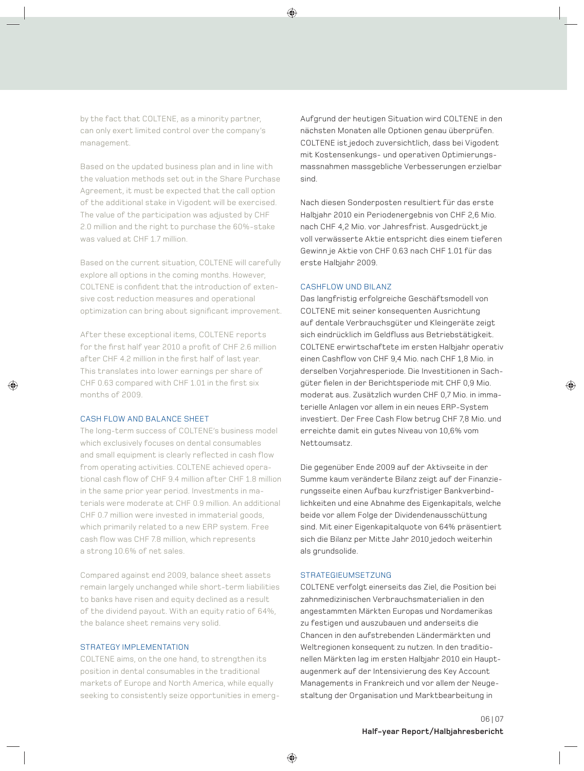by the fact that COLTENE, as a minority partner, can only exert limited control over the company's management.

Based on the updated business plan and in line with the valuation methods set out in the Share Purchase Agreement, it must be expected that the call option of the additional stake in Vigodent will be exercised. The value of the participation was adjusted by CHF 2.0 million and the right to purchase the 60%-stake was valued at CHF 1.7 million.

Based on the current situation, COLTENE will carefully explore all options in the coming months. However, COLTENE is confident that the introduction of extensive cost reduction measures and operational optimization can bring about significant improvement.

After these exceptional items, COLTENE reports for the first half year 2010 a profit of CHF 2.6 million after CHF 4.2 million in the first half of last year. This translates into lower earnings per share of CHF 0.63 compared with CHF 1.01 in the first six months of 2009.

#### CASH FLOW AND BALANCE SHEET

The long-term success of COLTENE's business model which exclusively focuses on dental consumables and small equipment is clearly reflected in cash flow from operating activities. COLTENE achieved operational cash flow of CHF 9.4 million after CHF 1.8 million in the same prior year period. Investments in materials were moderate at CHF 0.9 million. An additional CHF 0.7 million were invested in immaterial goods, which primarily related to a new ERP system. Free cash flow was CHF 7.8 million, which represents a strong 10.6% of net sales.

Compared against end 2009, balance sheet assets remain largely unchanged while short-term liabilities to banks have risen and equity declined as a result of the dividend payout. With an equity ratio of 64%, the balance sheet remains very solid.

#### STRATEGY IMPLEMENTATION

COLTENE aims, on the one hand, to strengthen its position in dental consumables in the traditional markets of Europe and North America, while equally seeking to consistently seize opportunities in emergAufgrund der heutigen Situation wird COLTENE in den nächsten Monaten alle Optionen genau überprüfen. COLTENE ist jedoch zuversichtlich, dass bei Vigodent mit Kostensenkungs- und operativen Optimierungsmassnahmen massgebliche Verbesserungen erzielbar sind.

Nach diesen Sonderposten resultiert für das erste Halbjahr 2010 ein Periodenergebnis von CHF 2,6 Mio. nach CHF 4,2 Mio. vor Jahresfrist. Ausgedrückt je voll verwässerte Aktie entspricht dies einem tieferen Gewinn je Aktie von CHF 0.63 nach CHF 1.01 für das erste Halbjahr 2009.

#### CASHFLOW UND BILANZ

Das langfristig erfolgreiche Geschäftsmodell von COLTENE mit seiner konsequenten Ausrichtung auf dentale Verbrauchsgüter und Kleingeräte zeigt sich eindrücklich im Geldfluss aus Betriebstätigkeit. COLTENE erwirtschaftete im ersten Halbjahr operativ einen Cashflow von CHF 9.4 Mio. nach CHF 1.8 Mio. in derselben Vorjahresperiode. Die Investitionen in Sachgüter fielen in der Berichtsperiode mit CHF 0,9 Mio. moderat aus. Zusätzlich wurden CHF 0,7 Mio. in immaterielle Anlagen vor allem in ein neues ERP-System investiert. Der Free Cash Flow betrug CHF 7,8 Mio. und erreichte damit ein gutes Niveau von 10,6% vom Nettoumsatz.

Die gegenüber Ende 2009 auf der Aktivseite in der Summe kaum veränderte Bilanz zeigt auf der Finanzierungsseite einen Aufbau kurzfristiger Bankverbindlichkeiten und eine Abnahme des Eigenkapitals, welche beide vor allem Folge der Dividendenausschüttung sind. Mit einer Eigenkapitalquote von 64% präsentiert sich die Bilanz per Mitte Jahr 2010 jedoch weiterhin als grundsolide.

#### STRATEGIEUMSETZUNG

COLTENE verfolgt einerseits das Ziel, die Position bei zahnmedizinischen Verbrauchsmaterialien in den angestammten Märkten Europas und Nordamerikas zu festigen und auszubauen und anderseits die Chancen in den aufstrebenden Ländermärkten und Weltregionen konsequent zu nutzen. In den traditionellen Märkten lag im ersten Halbjahr 2010 ein Hauptaugenmerk auf der Intensivierung des Key Account Managements in Frankreich und vor allem der Neugestaltung der Organisation und Marktbearbeitung in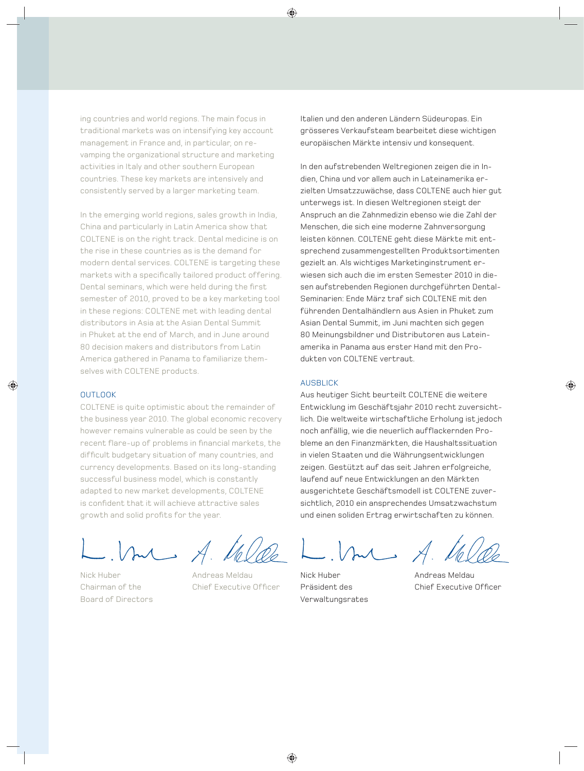ing countries and world regions. The main focus in traditional markets was on intensifying key account management in France and, in particular, on revamping the organizational structure and marketing activities in Italy and other southern European countries. These key markets are intensively and consistently served by a larger marketing team.

In the emerging world regions, sales growth in India, China and particularly in Latin America show that COLTENE is on the right track. Dental medicine is on the rise in these countries as is the demand for modern dental services. COLTENE is targeting these markets with a specifically tailored product offering. Dental seminars, which were held during the first semester of 2010, proved to be a key marketing tool in these regions: COLTENE met with leading dental distributors in Asia at the Asian Dental Summit in Phuket at the end of March, and in June around 80 decision makers and distributors from Latin America gathered in Panama to familiarize themselves with COLTENE products.

#### **OUTLOOK**

COLTENE is quite optimistic about the remainder of the business year 2010. The global economic recovery however remains vulnerable as could be seen by the recent flare-up of problems in financial markets, the difficult budgetary situation of many countries, and currency developments. Based on its long-standing successful business model, which is constantly adapted to new market developments, COLTENE is confident that it will achieve attractive sales growth and solid profits for the year.

Aul A.

Nick Huber **Andreas Meldau** Board of Directors

Chairman of the Chief Executive Officer

Italien und den anderen Ländern Südeuropas. Ein grösseres Verkaufsteam bearbeitet diese wichtigen europäischen Märkte intensiv und konsequent.

In den aufstrebenden Weltregionen zeigen die in Indien, China und vor allem auch in Lateinamerika erzielten Umsatzzuwächse, dass COLTENE auch hier gut unterwegs ist. In diesen Weltregionen steigt der Anspruch an die Zahnmedizin ebenso wie die Zahl der Menschen, die sich eine moderne Zahnversorgung leisten können. COLTENE geht diese Märkte mit entsprechend zusammengestellten Produktsortimenten gezielt an. Als wichtiges Marketinginstrument erwiesen sich auch die im ersten Semester 2010 in diesen aufstrebenden Regionen durchgeführten Dental-Seminarien: Ende März traf sich COLTENE mit den führenden Dentalhändlern aus Asien in Phuket zum Asian Dental Summit, im Juni machten sich gegen 80 Meinungsbildner und Distributoren aus Lateinamerika in Panama aus erster Hand mit den Produkten von COLTENE vertraut.

#### AUSBLICK

Aus heutiger Sicht beurteilt COLTENE die weitere Entwicklung im Geschäftsjahr 2010 recht zuversichtlich. Die weltweite wirtschaftliche Erholung ist jedoch noch anfällig, wie die neuerlich aufflackernden Probleme an den Finanzmärkten, die Haushaltssituation in vielen Staaten und die Währungsentwicklungen zeigen. Gestützt auf das seit Jahren erfolgreiche, laufend auf neue Entwicklungen an den Märkten ausgerichtete Geschäftsmodell ist COLTENE zuversichtlich, 2010 ein ansprechendes Umsatzwachstum und einen soliden Ertrag erwirtschaften zu können.

Anl A

Verwaltungsrates

Nick Huber **Andreas Meldau** Präsident des Chief Executive Officer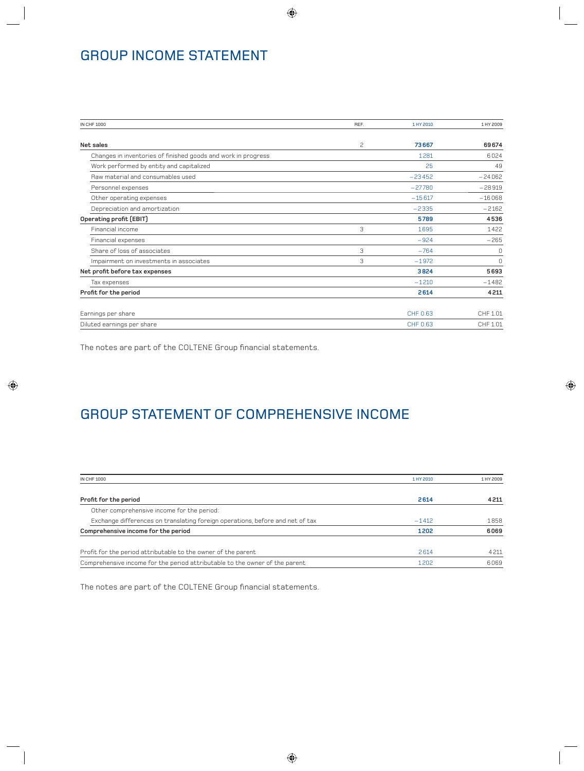# GROUP INCOME STATEMENT

| <b>IN CHF 1000</b>                                            | REF. | 1 HY 2010 | 1 HY 2009 |
|---------------------------------------------------------------|------|-----------|-----------|
|                                                               |      |           |           |
| Net sales                                                     | 2    | 73667     | 69674     |
| Changes in inventories of finished goods and work in progress |      | 1281      | 6024      |
| Work performed by entity and capitalized                      |      | 25        | 49        |
| Raw material and consumables used                             |      | $-23452$  | $-24062$  |
| Personnel expenses                                            |      | $-27780$  | $-28919$  |
| Other operating expenses                                      |      | $-15617$  | $-16068$  |
| Depreciation and amortization                                 |      | $-2335$   | $-2162$   |
| Operating profit (EBIT)                                       |      | 5789      | 4536      |
| Financial income                                              | 3    | 1695      | 1422      |
| Financial expenses                                            |      | $-924$    | $-265$    |
| Share of loss of associates                                   | 3    | $-764$    | 0         |
| Impairment on investments in associates                       | 3    | $-1972$   | $\Omega$  |
| Net profit before tax expenses                                |      | 3824      | 5693      |
| Tax expenses                                                  |      | $-1210$   | $-1482$   |
| Profit for the period                                         |      | 2614      | 4211      |
| Earnings per share                                            |      | CHF 0.63  | CHF 1.01  |
| Diluted earnings per share                                    |      | CHF 0.63  | CHF 1.01  |

The notes are part of the COLTENE Group financial statements.

# GROUP STATEMENT OF COMPREHENSIVE INCOME

| <b>IN CHF 1000</b>                                                            | 1 HY 2010 | 1 HY 2009 |
|-------------------------------------------------------------------------------|-----------|-----------|
|                                                                               |           |           |
| Profit for the period                                                         | 2614      | 4211      |
| Other comprehensive income for the period:                                    |           |           |
| Exchange differences on translating foreign operations, before and net of tax | $-1412$   | 1858      |
| Comprehensive income for the period                                           | 1202      | 6069      |
| Profit for the period attributable to the owner of the parent                 | 2614      | 4 2 1 1   |
| Comprehensive income for the period attributable to the owner of the parent   | 1202      | 6069      |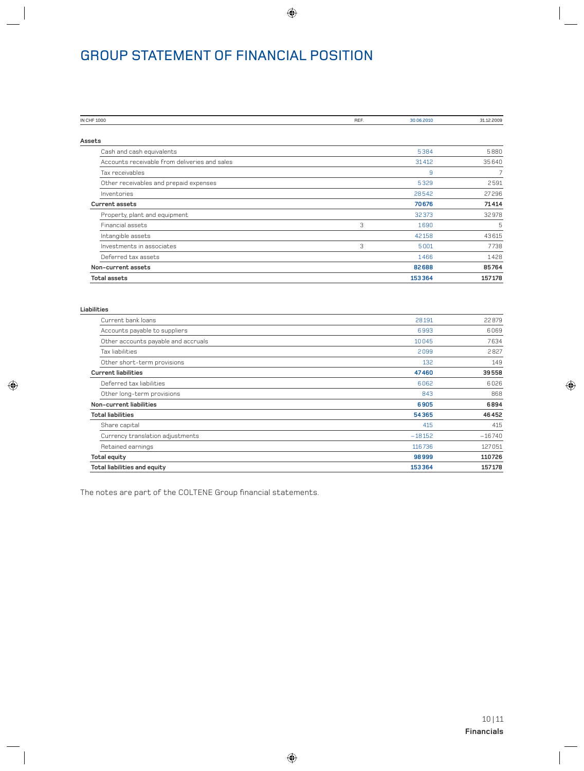# GROUP STATEMENT OF FINANCIAL POSITION

| IN CHF 1000                                   | REF. | 30.06.2010 | 31.12.2009 |
|-----------------------------------------------|------|------------|------------|
|                                               |      |            |            |
| Assets                                        |      |            |            |
| Cash and cash equivalents                     |      | 5384       | 5880       |
| Accounts receivable from deliveries and sales |      | 31412      | 35640      |
| Tax receivables                               |      | 9          | 7          |
| Other receivables and prepaid expenses        |      | 5329       | 2591       |
| Inventories                                   |      | 28542      | 27296      |
| <b>Current assets</b>                         |      | 70676      | 71414      |
| Property, plant and equipment                 |      | 32373      | 32978      |
| Financial assets                              | 3    | 1690       | 5          |
| Intangible assets                             |      | 42158      | 43615      |
| Investments in associates                     | 3    | 5001       | 7738       |
| Deferred tax assets                           |      | 1466       | 1428       |
| Non-current assets                            |      | 82688      | 85764      |
| <b>Total assets</b>                           |      | 153364     | 157178     |

| Liabilities                         |          |          |
|-------------------------------------|----------|----------|
| Current bank loans                  | 28191    | 22879    |
| Accounts payable to suppliers       | 6993     | 6069     |
| Other accounts payable and accruals | 10045    | 7634     |
| Tax liabilities                     | 2099     | 2827     |
| Other short-term provisions         | 132      | 149      |
| <b>Current liabilities</b>          | 47460    | 39558    |
| Deferred tax liabilities            | 6062     | 6026     |
| Other long-term provisions          | 843      | 868      |
| Non-current liabilities             | 6905     | 6894     |
| <b>Total liabilities</b>            | 54365    | 46452    |
| Share capital                       | 415      | 415      |
| Currency translation adjustments    | $-18152$ | $-16740$ |
| Retained earnings                   | 116736   | 127051   |
| <b>Total equity</b>                 | 98999    | 110726   |
| Total liabilities and equity        | 153364   | 157178   |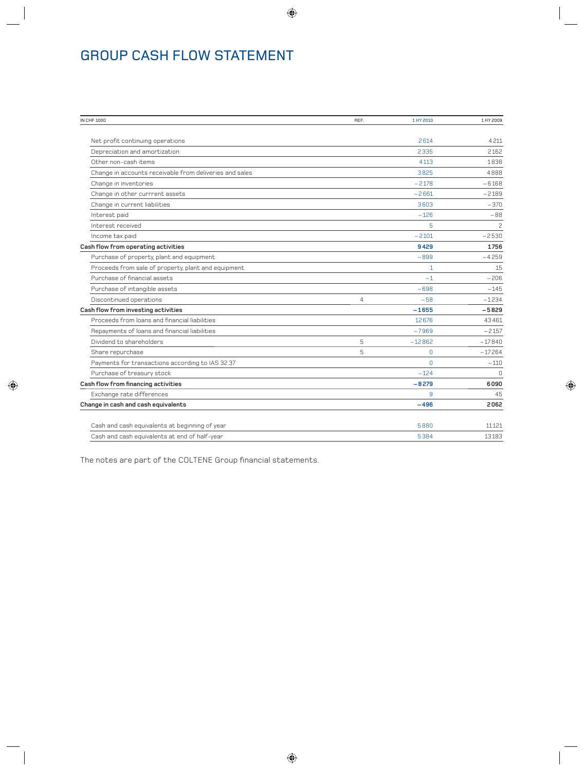# GROUP CASH FLOW STATEMENT

| <b>IN CHF 1000</b>                                      | REF.           | 1 HY 2010    | 1 HY 2009 |
|---------------------------------------------------------|----------------|--------------|-----------|
|                                                         |                |              |           |
| Net profit continuing operations                        |                | 2614         | 4211      |
| Depreciation and amortization                           |                | 2335         | 2162      |
| Other non-cash items                                    |                | 4113         | 1838      |
| Change in accounts receivable from deliveries and sales |                | 3825         | 4888      |
| Change in inventories                                   |                | $-2178$      | $-6168$   |
| Change in other currrent assets                         |                | $-2661$      | $-2189$   |
| Change in current liabilities                           |                | 3603         | $-370$    |
| Interest paid                                           |                | $-126$       | $-88$     |
| Interest received                                       |                | 5            | 2         |
| Income tax paid                                         |                | $-2101$      | $-2530$   |
| Cash flow from operating activities                     |                | 9429         | 1756      |
| Purchase of property, plant and equipment               |                | $-899$       | $-4259$   |
| Proceeds from sale of property, plant and equipment     |                | 1            | 15        |
| Purchase of financial assets                            |                | $-1$         | $-206$    |
| Purchase of intangible assets                           |                | $-698$       | $-145$    |
| Discontinued operations                                 | $\overline{4}$ | $-58$        | $-1234$   |
| Cash flow from investing activities                     |                | $-1655$      | $-5829$   |
| Proceeds from loans and financial liabilities           |                | 12676        | 43461     |
| Repayments of loans and financial liabilities           |                | $-7969$      | $-2157$   |
| Dividend to shareholders                                | 5              | $-12862$     | $-17840$  |
| Share repurchase                                        | 5              | $\Omega$     | $-17264$  |
| Payments for transactions according to IAS 32.37        |                | $\Omega$     | $-110$    |
| Purchase of treasury stock                              |                | $-124$       | $\Omega$  |
| Cash flow from financing activities                     |                | $-8279$      | 6090      |
| Exchange rate differences                               |                | $\mathbf{q}$ | 45        |
| Change in cash and cash equivalents                     |                | $-496$       | 2062      |
| Cash and cash equivalents at beginning of year          |                | 5880         | 11121     |
| Cash and cash equivalents at end of half-year           |                | 5384         | 13183     |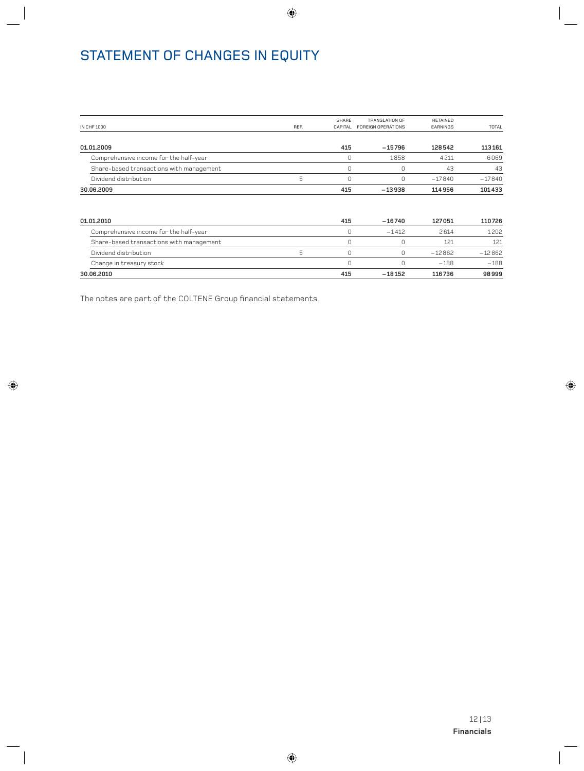# STATEMENT OF CHANGES IN EQUITY

| <b>IN CHF 1000</b>                       | REF. | SHARE<br><b>CAPITAL</b> | TRANSLATION OF<br><b>FOREIGN OPERATIONS</b> | RETAINED<br>EARNINGS | TOTAL    |
|------------------------------------------|------|-------------------------|---------------------------------------------|----------------------|----------|
| 01.01.2009                               |      | 415                     | $-15796$                                    | 128542               | 113161   |
| Comprehensive income for the half-year   |      |                         | 1858                                        | 4211                 | 6069     |
| Share-based transactions with management |      | C                       |                                             | 43                   | 43       |
| Dividend distribution                    | 5    | C                       | Ω                                           | $-17840$             | $-17840$ |
| 30.06.2009                               |      | 415                     | $-13938$                                    | 114956               | 101433   |

| 01.01.2010                               | 415 | $-16740$ | 127051   | 110726   |
|------------------------------------------|-----|----------|----------|----------|
| Comprehensive income for the half-year   |     | $-1412$  | 2614     | 1202     |
| Share-based transactions with management |     |          | 121      | 121      |
| Dividend distribution                    |     |          | $-12862$ | $-12862$ |
| Change in treasury stock                 |     |          | $-188$   | $-188$   |
| 30.06.2010                               | 415 | $-18152$ | 116736   | 98999    |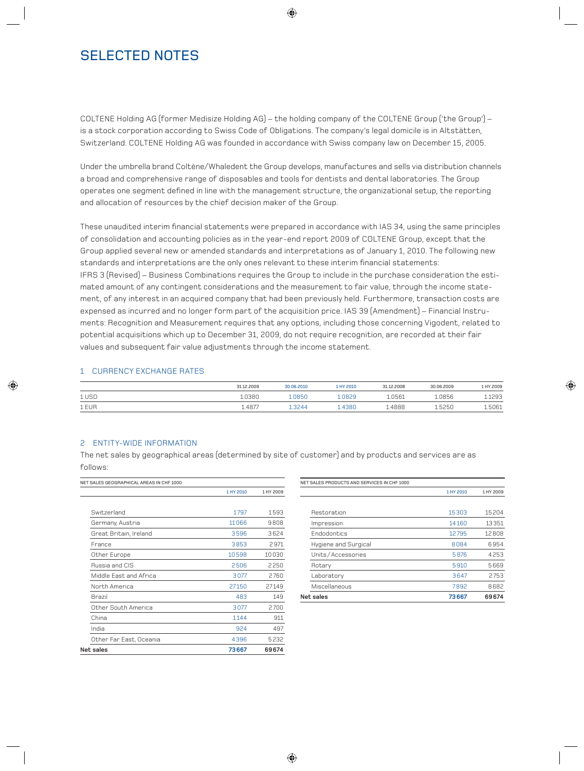## SELECTED NOTES

COLTENE Holding AG (former Medisize Holding AG) – the holding company of the COLTENE Group ('the Group') – is a stock corporation according to Swiss Code of Obligations. The company's legal domicile is in Altstätten, Switzerland. COLTENE Holding AG was founded in accordance with Swiss company law on December 15, 2005.

Under the umbrella brand Coltène/Whaledent the Group develops, manufactures and sells via distribution channels a broad and comprehensive range of disposables and tools for dentists and dental laboratories. The Group operates one segment defined in line with the management structure, the organizational setup, the reporting and allocation of resources by the chief decision maker of the Group.

These unaudited interim financial statements were prepared in accordance with IAS 34, using the same principles of consolidation and accounting policies as in the year-end report 2009 of COLTENE Group, except that the Group applied several new or amended standards and interpretations as of January 1, 2010. The following new standards and interpretations are the only ones relevant to these interim financial statements: IFRS 3 (Revised) – Business Combinations requires the Group to include in the purchase consideration the estimated amount of any contingent considerations and the measurement to fair value, through the income statement, of any interest in an acquired company that had been previously held. Furthermore, transaction costs are expensed as incurred and no longer form part of the acquisition price. IAS 39 (Amendment) – Financial Instruments: Recognition and Measurement requires that any options, including those concerning Vigodent, related to potential acquisitions which up to December 31, 2009, do not require recognition, are recorded at their fair values and subsequent fair value adjustments through the income statement.

#### 1 CURRENCY EXCHANGE RATES

|       | 31.12.2009 | 30.06.2010 | 1 HY 2010 | 31.12.2008 | 30.06.2009 | 1 HY 2009 |
|-------|------------|------------|-----------|------------|------------|-----------|
| 1 USD | 1.0380     | .0850      | .0829     | L.0561     | 1.0856     | .1293     |
| 1 EUR | 1.4877     | 13244      | .4380     | L.4888     | 1,5250     | .5061     |

#### 2 ENTITY-WIDE INFORMATION

The net sales by geographical areas (determined by site of customer) and by products and services are as follows:

| NET SALES GEOGRAPHICAL AREAS IN CHF 1000 |           |           |
|------------------------------------------|-----------|-----------|
|                                          | 1 HY 2010 | 1 HY 2009 |
|                                          |           |           |
| Switzerland                              | 1797      | 1593      |
| Germany, Austria                         | 11066     | 9808      |
| Great Britain, Ireland                   | 3596      | 3624      |
| France                                   | 3853      | 2971      |
| Other Europe                             | 10598     | 10030     |
| <b>Russia and CIS</b>                    | 2506      | 2250      |
| Middle East and Africa                   | 3077      | 2760      |
| North America                            | 27150     | 27149     |
| Brazil                                   | 483       | 149       |
| Other South America                      | 3077      | 2700      |
| China                                    | 1144      | 911       |
| India                                    | 924       | 497       |
| Other Far East, Oceania                  | 4396      | 5232      |
| Net sales                                | 73667     | 69674     |

| NET SALES PRODUCTS AND SERVICES IN CHF 1000 |           |           |
|---------------------------------------------|-----------|-----------|
|                                             | 1 HY 2010 | 1 HY 2009 |
|                                             |           |           |
| Restoration                                 | 15303     | 15204     |
| Impression                                  | 14160     | 13351     |
| Endodontics                                 | 12795     | 12808     |
| Hygiene and Surgical                        | 8084      | 6954      |
| Units/Accessories                           | 5876      | 4253      |
| Rotary                                      | 5910      | 5669      |
| Laboratory                                  | 3647      | 2753      |
| Miscellaneous                               | 7892      | 8682      |
| Net sales                                   | 73667     | 69674     |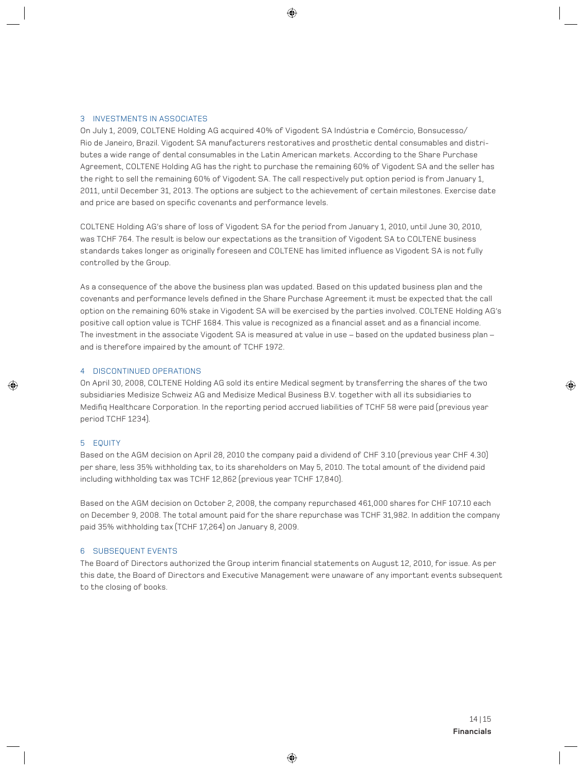#### 3 INVESTMENTS IN ASSOCIATES

On July 1, 2009, COLTENE Holding AG acquired 40% of Vigodent SA Indústria e Comércio, Bonsucesso/ Rio de Janeiro, Brazil. Vigodent SA manufacturers restoratives and prosthetic dental consumables and distributes a wide range of dental consumables in the Latin American markets. According to the Share Purchase Agreement, COLTENE Holding AG has the right to purchase the remaining 60% of Vigodent SA and the seller has the right to sell the remaining 60% of Vigodent SA. The call respectively put option period is from January 1, 2011, until December 31, 2013. The options are subject to the achievement of certain milestones. Exercise date and price are based on specific covenants and performance levels.

COLTENE Holding AG's share of loss of Vigodent SA for the period from January 1, 2010, until June 30, 2010, was TCHF 764. The result is below our expectations as the transition of Vigodent SA to COLTENE business standards takes longer as originally foreseen and COLTENE has limited influence as Vigodent SA is not fully controlled by the Group.

As a consequence of the above the business plan was updated. Based on this updated business plan and the covenants and performance levels defined in the Share Purchase Agreement it must be expected that the call option on the remaining 60% stake in Vigodent SA will be exercised by the parties involved. COLTENE Holding AG's positive call option value is TCHF 1684. This value is recognized as a financial asset and as a financial income. The investment in the associate Vigodent SA is measured at value in use – based on the updated business plan – and is therefore impaired by the amount of TCHF 1972.

#### 4 DISCONTINUED OPERATIONS

On April 30, 2008, COLTENE Holding AG sold its entire Medical segment by transferring the shares of the two subsidiaries Medisize Schweiz AG and Medisize Medical Business B.V. together with all its subsidiaries to Medifig Healthcare Corporation. In the reporting period accrued liabilities of TCHF 58 were paid (previous year period TCHF 1234).

#### 5 EQUITY

Based on the AGM decision on April 28, 2010 the company paid a dividend of CHF 3.10 (previous year CHF 4.30) per share, less 35% withholding tax, to its shareholders on May 5, 2010. The total amount of the dividend paid including withholding tax was TCHF 12,862 (previous year TCHF 17,840).

Based on the AGM decision on October 2, 2008, the company repurchased 461,000 shares for CHF 107.10 each on December 9, 2008. The total amount paid for the share repurchase was TCHF 31,982. In addition the company paid 35% withholding tax (TCHF 17,264) on January 8, 2009.

#### 6 SUBSEQUENT EVENTS

The Board of Directors authorized the Group interim financial statements on August 12, 2010, for issue. As per this date, the Board of Directors and Executive Management were unaware of any important events subsequent to the closing of books.